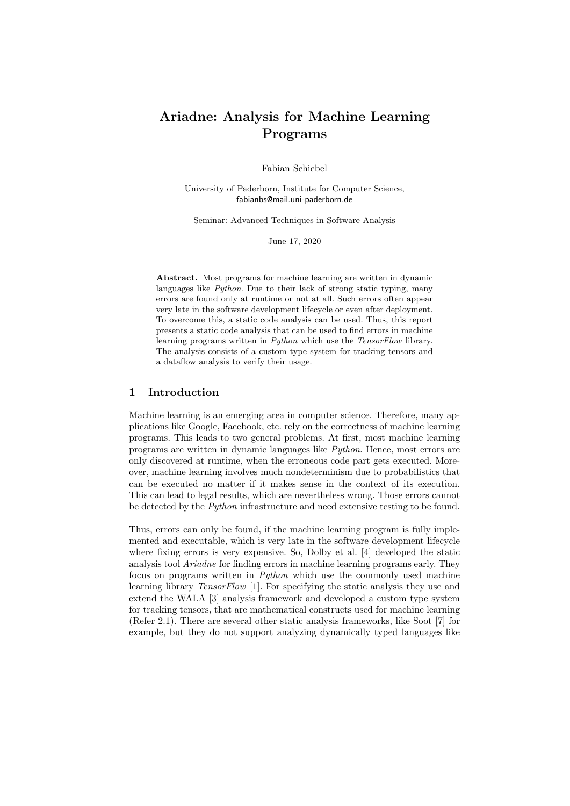# Ariadne: Analysis for Machine Learning Programs

Fabian Schiebel

University of Paderborn, Institute for Computer Science, fabianbs@mail.uni-paderborn.de

Seminar: Advanced Techniques in Software Analysis

June 17, 2020

Abstract. Most programs for machine learning are written in dynamic languages like *Python*. Due to their lack of strong static typing, many errors are found only at runtime or not at all. Such errors often appear very late in the software development lifecycle or even after deployment. To overcome this, a static code analysis can be used. Thus, this report presents a static code analysis that can be used to find errors in machine learning programs written in Python which use the TensorFlow library. The analysis consists of a custom type system for tracking tensors and a dataflow analysis to verify their usage.

# 1 Introduction

Machine learning is an emerging area in computer science. Therefore, many applications like Google, Facebook, etc. rely on the correctness of machine learning programs. This leads to two general problems. At first, most machine learning programs are written in dynamic languages like Python. Hence, most errors are only discovered at runtime, when the erroneous code part gets executed. Moreover, machine learning involves much nondeterminism due to probabilistics that can be executed no matter if it makes sense in the context of its execution. This can lead to legal results, which are nevertheless wrong. Those errors cannot be detected by the Python infrastructure and need extensive testing to be found.

Thus, errors can only be found, if the machine learning program is fully implemented and executable, which is very late in the software development lifecycle where fixing errors is very expensive. So, Dolby et al. [4] developed the static analysis tool Ariadne for finding errors in machine learning programs early. They focus on programs written in Python which use the commonly used machine learning library TensorFlow [1]. For specifying the static analysis they use and extend the WALA [3] analysis framework and developed a custom type system for tracking tensors, that are mathematical constructs used for machine learning (Refer 2.1). There are several other static analysis frameworks, like Soot [7] for example, but they do not support analyzing dynamically typed languages like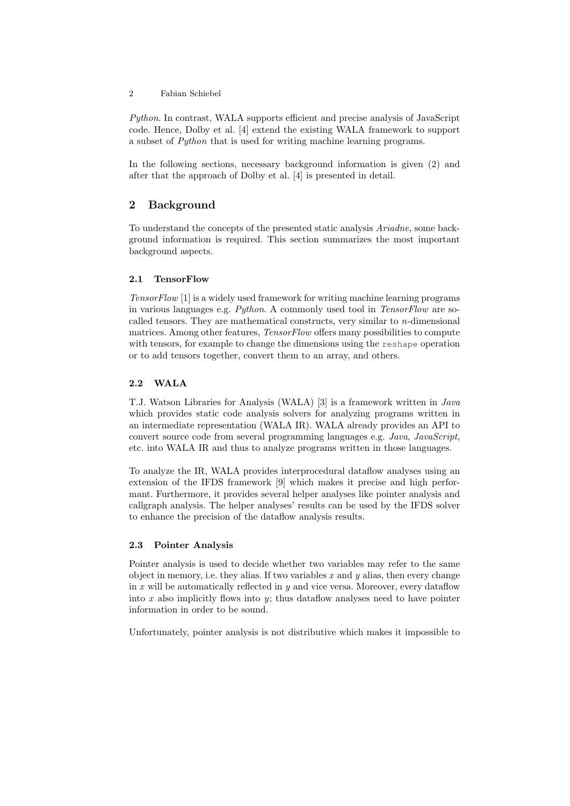Python. In contrast, WALA supports efficient and precise analysis of JavaScript code. Hence, Dolby et al. [4] extend the existing WALA framework to support a subset of Python that is used for writing machine learning programs.

In the following sections, necessary background information is given (2) and after that the approach of Dolby et al. [4] is presented in detail.

# 2 Background

To understand the concepts of the presented static analysis Ariadne, some background information is required. This section summarizes the most important background aspects.

## 2.1 TensorFlow

TensorFlow [1] is a widely used framework for writing machine learning programs in various languages e.g. Python. A commonly used tool in TensorFlow are socalled tensors. They are mathematical constructs, very similar to n-dimensional matrices. Among other features, *TensorFlow* offers many possibilities to compute with tensors, for example to change the dimensions using the reshape operation or to add tensors together, convert them to an array, and others.

## 2.2 WALA

T.J. Watson Libraries for Analysis (WALA) [3] is a framework written in Java which provides static code analysis solvers for analyzing programs written in an intermediate representation (WALA IR). WALA already provides an API to convert source code from several programming languages e.g. Java, JavaScript, etc. into WALA IR and thus to analyze programs written in those languages.

To analyze the IR, WALA provides interprocedural dataflow analyses using an extension of the IFDS framework [9] which makes it precise and high performant. Furthermore, it provides several helper analyses like pointer analysis and callgraph analysis. The helper analyses' results can be used by the IFDS solver to enhance the precision of the dataflow analysis results.

## 2.3 Pointer Analysis

Pointer analysis is used to decide whether two variables may refer to the same object in memory, i.e. they alias. If two variables x and  $y$  alias, then every change in  $x$  will be automatically reflected in  $y$  and vice versa. Moreover, every dataflow into  $x$  also implicitly flows into  $y$ ; thus dataflow analyses need to have pointer information in order to be sound.

Unfortunately, pointer analysis is not distributive which makes it impossible to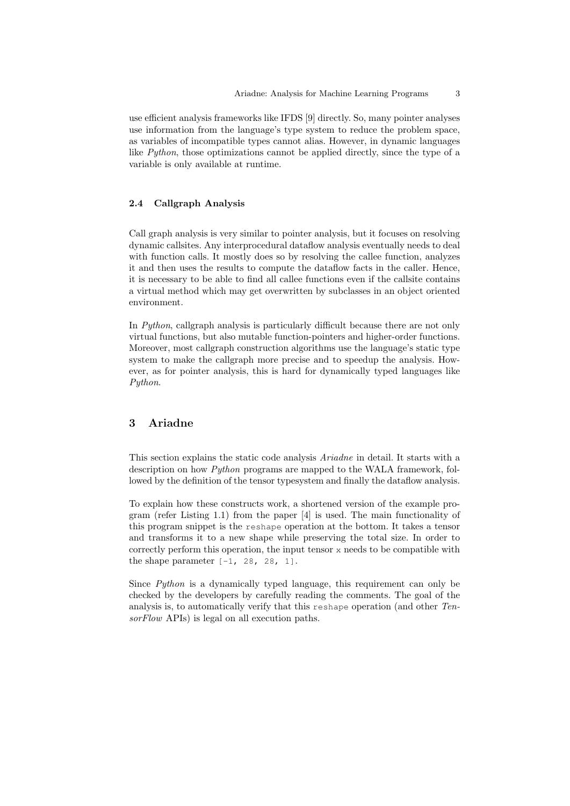use efficient analysis frameworks like IFDS [9] directly. So, many pointer analyses use information from the language's type system to reduce the problem space, as variables of incompatible types cannot alias. However, in dynamic languages like  $Python$ , those optimizations cannot be applied directly, since the type of a variable is only available at runtime.

#### 2.4 Callgraph Analysis

Call graph analysis is very similar to pointer analysis, but it focuses on resolving dynamic callsites. Any interprocedural dataflow analysis eventually needs to deal with function calls. It mostly does so by resolving the callee function, analyzes it and then uses the results to compute the dataflow facts in the caller. Hence, it is necessary to be able to find all callee functions even if the callsite contains a virtual method which may get overwritten by subclasses in an object oriented environment.

In Python, callgraph analysis is particularly difficult because there are not only virtual functions, but also mutable function-pointers and higher-order functions. Moreover, most callgraph construction algorithms use the language's static type system to make the callgraph more precise and to speedup the analysis. However, as for pointer analysis, this is hard for dynamically typed languages like Python.

## 3 Ariadne

This section explains the static code analysis Ariadne in detail. It starts with a description on how Python programs are mapped to the WALA framework, followed by the definition of the tensor typesystem and finally the dataflow analysis.

To explain how these constructs work, a shortened version of the example program (refer Listing 1.1) from the paper [4] is used. The main functionality of this program snippet is the reshape operation at the bottom. It takes a tensor and transforms it to a new shape while preserving the total size. In order to correctly perform this operation, the input tensor x needs to be compatible with the shape parameter  $[-1, 28, 28, 1]$ .

Since Python is a dynamically typed language, this requirement can only be checked by the developers by carefully reading the comments. The goal of the analysis is, to automatically verify that this reshape operation (and other TensorFlow APIs) is legal on all execution paths.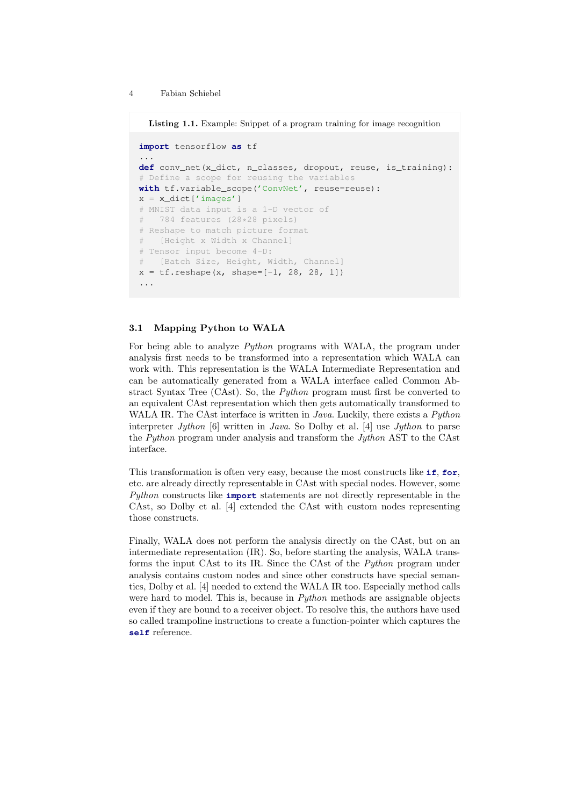Listing 1.1. Example: Snippet of a program training for image recognition

```
import tensorflow as tf
...
def conv_net(x_dict, n_classes, dropout, reuse, is_training):
# Define a scope for reusing the variables
with tf.variable_scope('ConvNet', reuse=reuse):
x = x\_dict['images']# MNIST data input is a 1-D vector of
# 784 features (28*28 pixels)
# Reshape to match picture format
# [Height x Width x Channel]
# Tensor input become 4-D:
# [Batch Size, Height, Width, Channel]
x = tf.reshape(x, shape=[-1, 28, 28, 1])...
```
### 3.1 Mapping Python to WALA

For being able to analyze Python programs with WALA, the program under analysis first needs to be transformed into a representation which WALA can work with. This representation is the WALA Intermediate Representation and can be automatically generated from a WALA interface called Common Abstract Syntax Tree (CAst). So, the Python program must first be converted to an equivalent CAst representation which then gets automatically transformed to WALA IR. The CAst interface is written in *Java*. Luckily, there exists a *Python* interpreter Jython [6] written in Java. So Dolby et al. [4] use Jython to parse the *Puthon* program under analysis and transform the *Juthon* AST to the CAst interface.

This transformation is often very easy, because the most constructs like **if**, **for**, etc. are already directly representable in CAst with special nodes. However, some Python constructs like **import** statements are not directly representable in the CAst, so Dolby et al. [4] extended the CAst with custom nodes representing those constructs.

Finally, WALA does not perform the analysis directly on the CAst, but on an intermediate representation (IR). So, before starting the analysis, WALA transforms the input CAst to its IR. Since the CAst of the Python program under analysis contains custom nodes and since other constructs have special semantics, Dolby et al. [4] needed to extend the WALA IR too. Especially method calls were hard to model. This is, because in *Python* methods are assignable objects even if they are bound to a receiver object. To resolve this, the authors have used so called trampoline instructions to create a function-pointer which captures the **self** reference.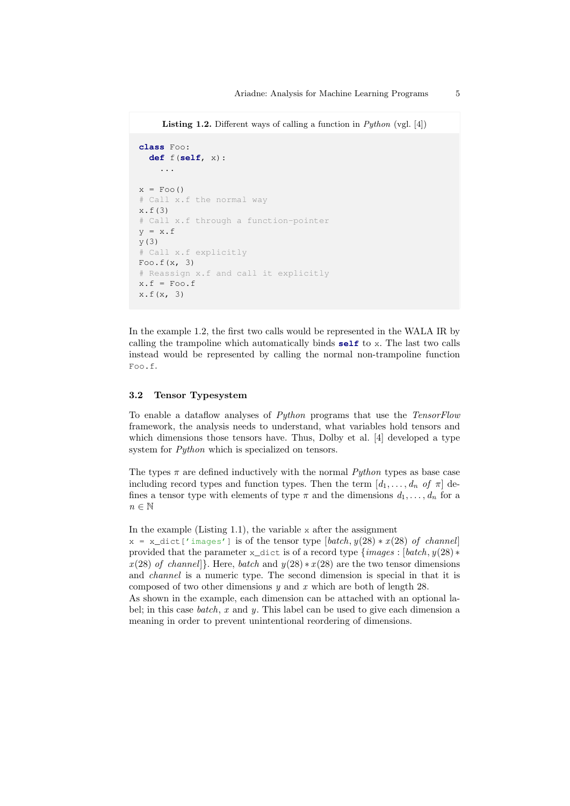**Listing 1.2.** Different ways of calling a function in  $Python$  (vgl. [4])

```
class Foo:
  def f(self, x):
    ...
x = Foo()# Call x.f the normal way
x.f(3)
# Call x.f through a function-pointer
y = x.fy(3)
# Call x.f explicitly
Foo.f(x, 3)
# Reassign x.f and call it explicitly
x.f = Foo.fx.f(x, 3)
```
In the example 1.2, the first two calls would be represented in the WALA IR by calling the trampoline which automatically binds **self** to x. The last two calls instead would be represented by calling the normal non-trampoline function Foo.f.

#### 3.2 Tensor Typesystem

To enable a dataflow analyses of Python programs that use the TensorFlow framework, the analysis needs to understand, what variables hold tensors and which dimensions those tensors have. Thus, Dolby et al. [4] developed a type system for *Python* which is specialized on tensors.

The types  $\pi$  are defined inductively with the normal *Python* types as base case including record types and function types. Then the term  $[d_1, \ldots, d_n \text{ of } \pi]$  defines a tensor type with elements of type  $\pi$  and the dimensions  $d_1, \ldots, d_n$  for a  $n \in \mathbb{N}$ 

In the example  $(Listing 1.1)$ , the variable x after the assignment

 $x = x$  dict ['images'] is of the tensor type  $[batch, y(28) * x(28)$  of channel] provided that the parameter x\_dict is of a record type  ${images : [batch, y(28) *]}$  $x(28)$  of channel]. Here, batch and  $y(28) * x(28)$  are the two tensor dimensions and channel is a numeric type. The second dimension is special in that it is composed of two other dimensions  $y$  and  $x$  which are both of length 28.

As shown in the example, each dimension can be attached with an optional label; in this case *batch*,  $x$  and  $y$ . This label can be used to give each dimension a meaning in order to prevent unintentional reordering of dimensions.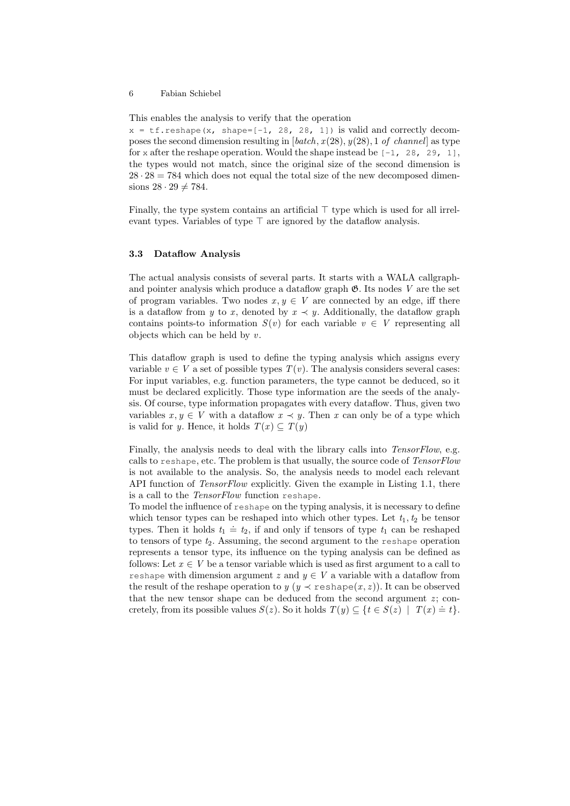This enables the analysis to verify that the operation

 $x = tf.\n *reshape* ( $x$ ,  $shape = [-1, 28, 28, 1])$  is valid and correctly decom$ poses the second dimension resulting in  $[batch, x(28), y(28), 1 \text{ of channel}]$  as type for x after the reshape operation. Would the shape instead be  $[-1, 28, 29, 1]$ , the types would not match, since the original size of the second dimension is  $28 \cdot 28 = 784$  which does not equal the total size of the new decomposed dimensions  $28 \cdot 29 \neq 784$ .

Finally, the type system contains an artificial  $\top$  type which is used for all irrelevant types. Variables of type  $\top$  are ignored by the dataflow analysis.

#### 3.3 Dataflow Analysis

The actual analysis consists of several parts. It starts with a WALA callgraphand pointer analysis which produce a dataflow graph  $\mathfrak{G}$ . Its nodes V are the set of program variables. Two nodes  $x, y \in V$  are connected by an edge, iff there is a dataflow from y to x, denoted by  $x \prec y$ . Additionally, the dataflow graph contains points-to information  $S(v)$  for each variable  $v \in V$  representing all objects which can be held by  $v$ .

This dataflow graph is used to define the typing analysis which assigns every variable  $v \in V$  a set of possible types  $T(v)$ . The analysis considers several cases: For input variables, e.g. function parameters, the type cannot be deduced, so it must be declared explicitly. Those type information are the seeds of the analysis. Of course, type information propagates with every dataflow. Thus, given two variables  $x, y \in V$  with a dataflow  $x \prec y$ . Then x can only be of a type which is valid for y. Hence, it holds  $T(x) \subseteq T(y)$ 

Finally, the analysis needs to deal with the library calls into TensorFlow, e.g. calls to reshape, etc. The problem is that usually, the source code of TensorFlow is not available to the analysis. So, the analysis needs to model each relevant API function of *TensorFlow* explicitly. Given the example in Listing 1.1, there is a call to the TensorFlow function reshape.

To model the influence of reshape on the typing analysis, it is necessary to define which tensor types can be reshaped into which other types. Let  $t_1, t_2$  be tensor types. Then it holds  $t_1 \doteq t_2$ , if and only if tensors of type  $t_1$  can be reshaped to tensors of type  $t_2$ . Assuming, the second argument to the reshape operation represents a tensor type, its influence on the typing analysis can be defined as follows: Let  $x \in V$  be a tensor variable which is used as first argument to a call to reshape with dimension argument z and  $y \in V$  a variable with a dataflow from the result of the reshape operation to  $y (y \prec \text{reshape}(x, z))$ . It can be observed that the new tensor shape can be deduced from the second argument  $z$ ; concretely, from its possible values  $S(z)$ . So it holds  $T(y) \subseteq \{t \in S(z) \mid T(x) = t\}.$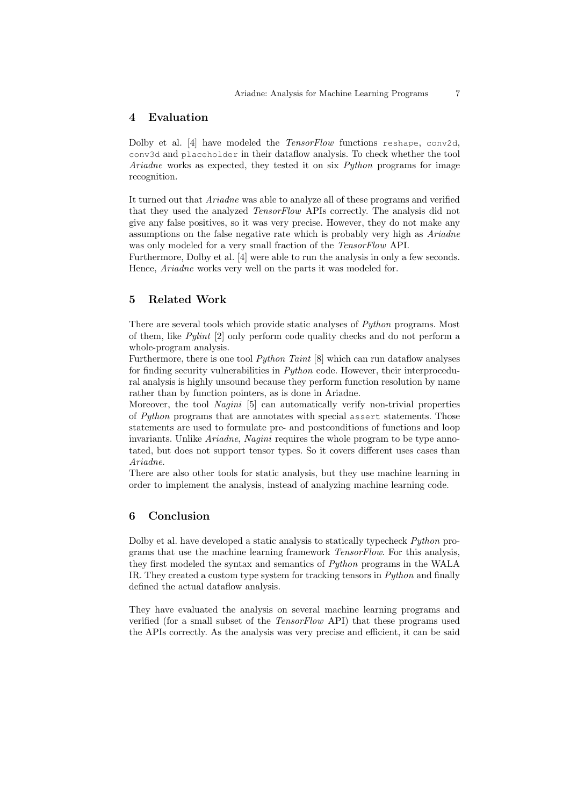# 4 Evaluation

Dolby et al. [4] have modeled the TensorFlow functions reshape, conv2d, conv3d and placeholder in their dataflow analysis. To check whether the tool Ariadne works as expected, they tested it on six Python programs for image recognition.

It turned out that Ariadne was able to analyze all of these programs and verified that they used the analyzed TensorFlow APIs correctly. The analysis did not give any false positives, so it was very precise. However, they do not make any assumptions on the false negative rate which is probably very high as Ariadne was only modeled for a very small fraction of the TensorFlow API.

Furthermore, Dolby et al. [4] were able to run the analysis in only a few seconds. Hence, Ariadne works very well on the parts it was modeled for.

## 5 Related Work

There are several tools which provide static analyses of Python programs. Most of them, like Pylint [2] only perform code quality checks and do not perform a whole-program analysis.

Furthermore, there is one tool  $Python$  Taint  $[8]$  which can run dataflow analyses for finding security vulnerabilities in Python code. However, their interprocedural analysis is highly unsound because they perform function resolution by name rather than by function pointers, as is done in Ariadne.

Moreover, the tool Nagini [5] can automatically verify non-trivial properties of Python programs that are annotates with special assert statements. Those statements are used to formulate pre- and postconditions of functions and loop invariants. Unlike *Ariadne*, *Nagini* requires the whole program to be type annotated, but does not support tensor types. So it covers different uses cases than Ariadne.

There are also other tools for static analysis, but they use machine learning in order to implement the analysis, instead of analyzing machine learning code.

## 6 Conclusion

Dolby et al. have developed a static analysis to statically typecheck *Python* programs that use the machine learning framework TensorFlow. For this analysis, they first modeled the syntax and semantics of Python programs in the WALA IR. They created a custom type system for tracking tensors in Python and finally defined the actual dataflow analysis.

They have evaluated the analysis on several machine learning programs and verified (for a small subset of the TensorFlow API) that these programs used the APIs correctly. As the analysis was very precise and efficient, it can be said